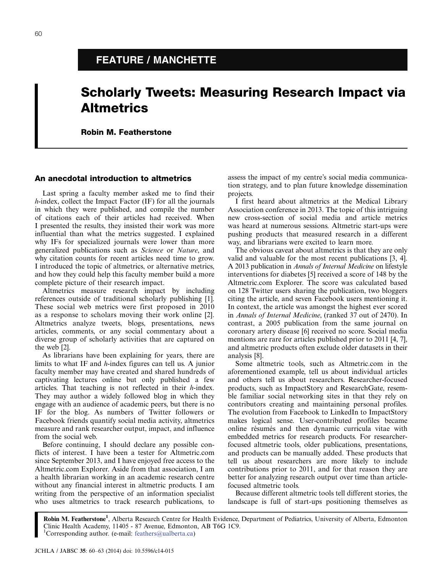# FEATURE / MANCHETTE

# Scholarly Tweets: Measuring Research Impact via Altmetrics

Robin M. Featherstone

# An anecdotal introduction to altmetrics

Last spring a faculty member asked me to find their h-index, collect the Impact Factor (IF) for all the journals in which they were published, and compile the number of citations each of their articles had received. When I presented the results, they insisted their work was more influential than what the metrics suggested. I explained why IFs for specialized journals were lower than more generalized publications such as Science or Nature, and why citation counts for recent articles need time to grow. I introduced the topic of altmetrics, or alternative metrics, and how they could help this faculty member build a more complete picture of their research impact.

Altmetrics measure research impact by including references outside of traditional scholarly publishing [1]. These social web metrics were first proposed in 2010 as a response to scholars moving their work online [2]. Altmetrics analyze tweets, blogs, presentations, news articles, comments, or any social commentary about a diverse group of scholarly activities that are captured on the web [2].

As librarians have been explaining for years, there are limits to what IF and h-index figures can tell us. A junior faculty member may have created and shared hundreds of captivating lectures online but only published a few articles. That teaching is not reflected in their h-index. They may author a widely followed blog in which they engage with an audience of academic peers, but there is no IF for the blog. As numbers of Twitter followers or Facebook friends quantify social media activity, altmetrics measure and rank researcher output, impact, and influence from the social web.

Before continuing, I should declare any possible conflicts of interest. I have been a tester for Altmetric.com since September 2013, and I have enjoyed free access to the Altmetric.com Explorer. Aside from that association, I am a health librarian working in an academic research centre without any financial interest in altmetric products. I am writing from the perspective of an information specialist who uses altmetrics to track research publications, to assess the impact of my centre's social media communication strategy, and to plan future knowledge dissemination projects.

I first heard about altmetrics at the Medical Library Association conference in 2013. The topic of this intriguing new cross-section of social media and article metrics was heard at numerous sessions. Altmetric start-ups were pushing products that measured research in a different way, and librarians were excited to learn more.

The obvious caveat about altmetrics is that they are only valid and valuable for the most recent publications [3, 4]. A 2013 publication in Annals of Internal Medicine on lifestyle interventions for diabetes [5] received a score of 148 by the Altmetric.com Explorer. The score was calculated based on 128 Twitter users sharing the publication, two bloggers citing the article, and seven Facebook users mentioning it. In context, the article was amongst the highest ever scored in Annals of Internal Medicine, (ranked 37 out of 2470). In contrast, a 2005 publication from the same journal on coronary artery disease [6] received no score. Social media mentions are rare for articles published prior to 2011 [4, 7], and altmetric products often exclude older datasets in their analysis [8].

Some altmetric tools, such as Altmetric.com in the aforementioned example, tell us about individual articles and others tell us about researchers. Researcher-focused products, such as ImpactStory and ResearchGate, resemble familiar social networking sites in that they rely on contributors creating and maintaining personal profiles. The evolution from Facebook to LinkedIn to ImpactStory makes logical sense. User-contributed profiles became online résumés and then dynamic curricula vitae with embedded metrics for research products. For researcherfocused altmetric tools, older publications, presentations, and products can be manually added. These products that tell us about researchers are more likely to include contributions prior to 2011, and for that reason they are better for analyzing research output over time than articlefocused altmetric tools.

Because different altmetric tools tell different stories, the landscape is full of start-ups positioning themselves as

Robin M. Featherstone<sup>1</sup>, Alberta Research Centre for Health Evidence, Department of Pediatrics, University of Alberta, Edmonton Clinic Health Academy, 11405 - 87 Avenue, Edmonton, AB T6G 1C9. <sup>1</sup>Corresponding author. (e-mail: [feathers@ualberta.ca](mailto:feathers@ualberta.ca))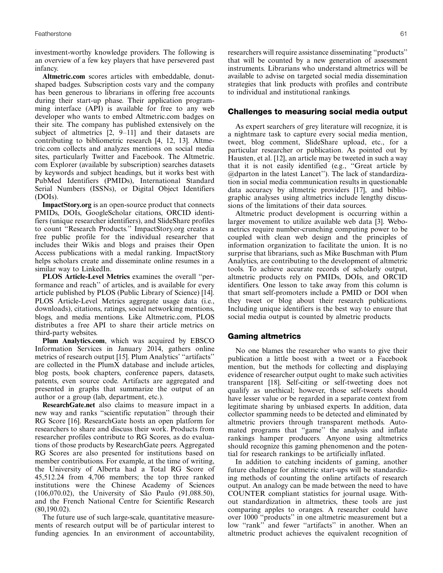investment-worthy knowledge providers. The following is an overview of a few key players that have persevered past infancy.

Altmetric.com scores articles with embeddable, donutshaped badges. Subscription costs vary and the company has been generous to librarians in offering free accounts during their start-up phase. Their application programming interface (API) is available for free to any web developer who wants to embed Altmetric.com badges on their site. The company has published extensively on the subject of altmetrics [2, 9-11] and their datasets are contributing to bibliometric research [4, 12, 13]. Altmetric.com collects and analyzes mentions on social media sites, particularly Twitter and Facebook. The Altmetric. com Explorer (available by subscription) searches datasets by keywords and subject headings, but it works best with PubMed Identifiers (PMIDs), International Standard Serial Numbers (ISSNs), or Digital Object Identifiers (DOIs).

ImpactStory.org is an open-source product that connects PMIDs, DOIs, GoogleScholar citations, ORCID identifiers (unique researcher identifiers), and SlideShare profiles to count ''Research Products.'' ImpactStory.org creates a free public profile for the individual researcher that includes their Wikis and blogs and praises their Open Access publications with a medal ranking. ImpactStory helps scholars create and disseminate online resumes in a similar way to LinkedIn.

PLOS Article-Level Metrics examines the overall ''performance and reach'' of articles, and is available for every article published by PLOS (Public Library of Science) [14]. PLOS Article-Level Metrics aggregate usage data (i.e., downloads), citations, ratings, social networking mentions, blogs, and media mentions. Like Altmetric.com, PLOS distributes a free API to share their article metrics on third-party websites.

Plum Analytics.com, which was acquired by EBSCO Information Services in January 2014, gathers online metrics of research output [15]. Plum Analytics' ''artifacts'' are collected in the PlumX database and include articles, blog posts, book chapters, conference papers, datasets, patents, even source code. Artifacts are aggregated and presented in graphs that summarize the output of an author or a group (lab, department, etc.).

ResearchGate.net also claims to measure impact in a new way and ranks ''scientific reputation'' through their RG Score [16]. ResearchGate hosts an open platform for researchers to share and discuss their work. Products from researcher profiles contribute to RG Scores, as do evaluations of those products by ResearchGate peers. Aggregated RG Scores are also presented for institutions based on member contributions. For example, at the time of writing, the University of Alberta had a Total RG Score of 45,512.24 from 4,706 members; the top three ranked institutions were the Chinese Academy of Sciences  $(106,070.02)$ , the University of São Paulo  $(91,088.50)$ , and the French National Centre for Scientific Research (80,190.02).

The future use of such large-scale, quantitative measurements of research output will be of particular interest to funding agencies. In an environment of accountability, researchers will require assistance disseminating ''products'' that will be counted by a new generation of assessment instruments. Librarians who understand altmetrics will be available to advise on targeted social media dissemination strategies that link products with profiles and contribute to individual and institutional rankings.

#### Challenges to measuring social media output

As expert searchers of grey literature will recognize, it is a nightmare task to capture every social media mention, tweet, blog comment, SlideShare upload, etc., for a particular researcher or publication. As pointed out by Hausten, et al. [12], an article may be tweeted in such a way that it is not easily identified (e.g., ''Great article by @dparton in the latest Lancet''). The lack of standardization in social media communication results in questionable data accuracy by altmetric providers [17], and bibliographic analyses using altmetrics include lengthy discussions of the limitations of their data sources.

Altmetric product development is occurring within a larger movement to utilize available web data [3]. Webometrics require number-crunching computing power to be coupled with clean web design and the principles of information organization to facilitate the union. It is no surprise that librarians, such as Mike Buschman with Plum Analytics, are contributing to the development of altmetric tools. To achieve accurate records of scholarly output, altmetric products rely on PMIDs, DOIs, and ORCID identifiers. One lesson to take away from this column is that smart self-promoters include a PMID or DOI when they tweet or blog about their research publications. Including unique identifiers is the best way to ensure that social media output is counted by almetric products.

#### Gaming altmetrics

No one blames the researcher who wants to give their publication a little boost with a tweet or a Facebook mention, but the methods for collecting and displaying evidence of researcher output ought to make such activities transparent [18]. Self-citing or self-tweeting does not qualify as unethical; however, those self-tweets should have lesser value or be regarded in a separate context from legitimate sharing by unbiased experts. In addition, data collector spamming needs to be detected and eliminated by altmetric proviers through transparent methods. Automated programs that ''game'' the analysis and inflate rankings hamper producers. Anyone using altmetrics should recognize this gaming phenomenon and the potential for research rankings to be artificially inflated.

In addition to catching incidents of gaming, another future challenge for altmetric start-ups will be standardizing methods of counting the online artifacts of research output. An analogy can be made between the need to have COUNTER compliant statistics for journal usage. Without standardization in altmetrics, these tools are just comparing apples to oranges. A researcher could have over 1000 ''products'' in one altmetric measurement but a low "rank" and fewer "artifacts" in another. When an altmetric product achieves the equivalent recognition of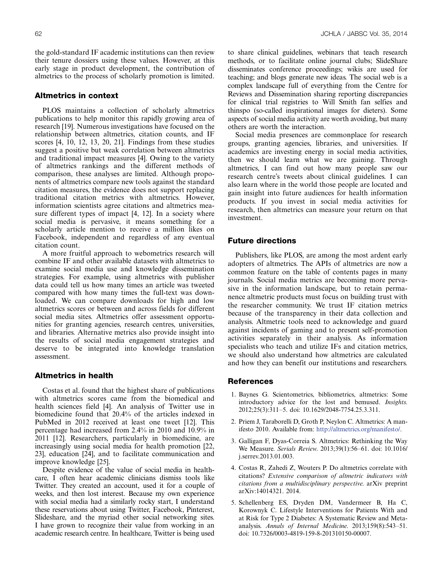the gold-standard IF academic institutions can then review their tenure dossiers using these values. However, at this early stage in product development, the contribution of almetrics to the process of scholarly promotion is limited.

# Altmetrics in context

PLOS maintains a collection of scholarly altmetrics publications to help monitor this rapidly growing area of research [19]. Numerous investigations have focused on the relationship between altmetrics, citation counts, and IF scores [4, 10, 12, 13, 20, 21]. Findings from these studies suggest a positive but weak correlation between altmetrics and traditional impact measures [4]. Owing to the variety of altmetrics rankings and the different methods of comparison, these analyses are limited. Although proponents of altmetrics compare new tools against the standard citation measures, the evidence does not support replacing traditional citation metrics with altmetrics. However, information scientists agree citations and altmetrics measure different types of impact [4, 12]. In a society where social media is pervasive, it means something for a scholarly article mention to receive a million likes on Facebook, independent and regardless of any eventual citation count.

A more fruitful approach to webometrics research will combine IF and other available datasets with altmetrics to examine social media use and knowledge dissemination strategies. For example, using altmetrics with publisher data could tell us how many times an article was tweeted compared with how many times the full-text was downloaded. We can compare downloads for high and low altmetrics scores or between and across fields for different social media sites. Altmetrics offer assessment opportunities for granting agencies, research centres, universities, and libraries. Alternative metrics also provide insight into the results of social media engagement strategies and deserve to be integrated into knowledge translation assessment.

# Altmetrics in health

Costas et al. found that the highest share of publications with altmetrics scores came from the biomedical and health sciences field [4]. An analysis of Twitter use in biomedicine found that 20.4% of the articles indexed in PubMed in 2012 received at least one tweet [12]. This percentage had increased from 2.4% in 2010 and 10.9% in 2011 [12]. Researchers, particularly in biomedicine, are increasingly using social media for health promotion [22, 23], education [24], and to facilitate communication and improve knowledge [25].

Despite evidence of the value of social media in healthcare, I often hear academic clinicians dismiss tools like Twitter. They created an account, used it for a couple of weeks, and then lost interest. Because my own experience with social media had a similarly rocky start, I understand these reservations about using Twitter, Facebook, Pinterest, Slideshare, and the myriad other social networking sites. I have grown to recognize their value from working in an academic research centre. In healthcare, Twitter is being used to share clinical guidelines, webinars that teach research methods, or to facilitate online journal clubs; SlideShare disseminates conference proceedings; wikis are used for teaching; and blogs generate new ideas. The social web is a complex landscape full of everything from the Centre for Reviews and Dissemination sharing reporting discrepancies for clinical trial registries to Will Smith fan selfies and thinspo (so-called inspirational images for dieters). Some aspects of social media activity are worth avoiding, but many others are worth the interaction.

Social media presences are commonplace for research groups, granting agencies, libraries, and universities. If academics are investing energy in social media activities, then we should learn what we are gaining. Through altmetrics, I can find out how many people saw our research centre's tweets about clinical guidelines. I can also learn where in the world those people are located and gain insight into future audiences for health information products. If you invest in social media activities for research, then altmetrics can measure your return on that investment.

# Future directions

Publishers, like PLOS, are among the most ardent early adopters of altmetrics. The APIs of altmetrics are now a common feature on the table of contents pages in many journals. Social media metrics are becoming more pervasive in the information landscape, but to retain permanence altmetric products must focus on building trust with the researcher community. We trust IF citation metrics because of the transparency in their data collection and analysis. Altmetric tools need to acknowledge and guard against incidents of gaming and to present self-promotion activities separately in their analysis. As information specialists who teach and utilize IFs and citation metrics, we should also understand how altmetrics are calculated and how they can benefit our institutions and researchers.

#### References

- 1. Baynes G. Scientometrics, bibliometrics, altmetrics: Some introductory advice for the lost and bemused. Insights. 2012;25(3):311-5. doi: 10.1629/2048-7754.25.3.311.
- 2. Priem J, Taraborelli D, Groth P, Neylon C. Altmetrics: A manifesto 2010. Available from: <http://altmetrics.org/manifesto/>.
- 3. Galligan F, Dyas-Correia S. Altmetrics: Rethinking the Way We Measure. Serials Review. 2013;39(1):56-61. doi: 10.1016/ j.serrev.2013.01.003.
- 4. Costas R, Zahedi Z, Wouters P. Do altmetrics correlate with citations? Extensive comparison of altmetric indicators with citations from a multidisciplinary perspective. arXiv preprint arXiv:14014321. 2014.
- 5. Schellenberg ES, Dryden DM, Vandermeer B, Ha C, Korownyk C. Lifestyle Interventions for Patients With and at Risk for Type 2 Diabetes: A Systematic Review and Metaanalysis. Annals of Internal Medicine. 2013;159(8):543-51. doi: 10.7326/0003-4819-159-8-201310150-00007.